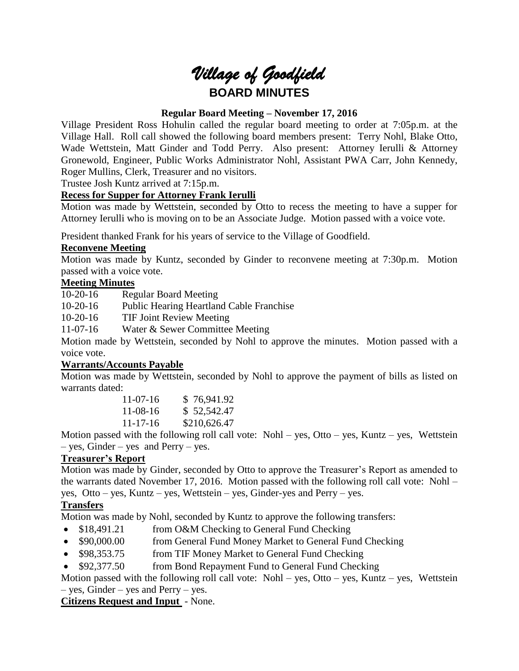# *Village of Goodfield* **BOARD MINUTES**

# **Regular Board Meeting – November 17, 2016**

Village President Ross Hohulin called the regular board meeting to order at 7:05p.m. at the Village Hall. Roll call showed the following board members present: Terry Nohl, Blake Otto, Wade Wettstein, Matt Ginder and Todd Perry. Also present: Attorney Ierulli & Attorney Gronewold, Engineer, Public Works Administrator Nohl, Assistant PWA Carr, John Kennedy, Roger Mullins, Clerk, Treasurer and no visitors.

Trustee Josh Kuntz arrived at 7:15p.m.

### **Recess for Supper for Attorney Frank Ierulli**

Motion was made by Wettstein, seconded by Otto to recess the meeting to have a supper for Attorney Ierulli who is moving on to be an Associate Judge. Motion passed with a voice vote.

President thanked Frank for his years of service to the Village of Goodfield.

#### **Reconvene Meeting**

Motion was made by Kuntz, seconded by Ginder to reconvene meeting at 7:30p.m. Motion passed with a voice vote.

#### **Meeting Minutes**

10-20-16 Regular Board Meeting

10-20-16 Public Hearing Heartland Cable Franchise

10-20-16 TIF Joint Review Meeting

11-07-16 Water & Sewer Committee Meeting

Motion made by Wettstein, seconded by Nohl to approve the minutes. Motion passed with a voice vote.

#### **Warrants/Accounts Payable**

Motion was made by Wettstein, seconded by Nohl to approve the payment of bills as listed on warrants dated:

| $11-07-16$     | \$76,941.92  |
|----------------|--------------|
| $11-08-16$     | \$52,542.47  |
| $11 - 17 - 16$ | \$210,626.47 |

Motion passed with the following roll call vote: Nohl – yes, Otto – yes, Kuntz – yes, Wettstein – yes, Ginder – yes and Perry – yes.

# **Treasurer's Report**

Motion was made by Ginder, seconded by Otto to approve the Treasurer's Report as amended to the warrants dated November 17, 2016. Motion passed with the following roll call vote: Nohl – yes, Otto – yes, Kuntz – yes, Wettstein – yes, Ginder-yes and Perry – yes.

# **Transfers**

Motion was made by Nohl, seconded by Kuntz to approve the following transfers:

- \$18,491.21 from O&M Checking to General Fund Checking
- \$90,000.00 from General Fund Money Market to General Fund Checking
- \$98,353.75 from TIF Money Market to General Fund Checking
- \$92,377.50 from Bond Repayment Fund to General Fund Checking

Motion passed with the following roll call vote: Nohl – yes, Otto – yes, Kuntz – yes, Wettstein – yes, Ginder – yes and Perry – yes.

# **Citizens Request and Input** - None.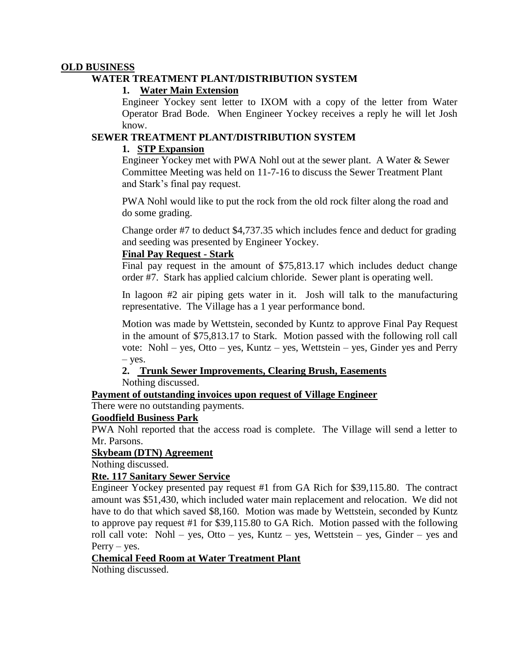#### **OLD BUSINESS**

#### **WATER TREATMENT PLANT/DISTRIBUTION SYSTEM**

#### **1. Water Main Extension**

Engineer Yockey sent letter to IXOM with a copy of the letter from Water Operator Brad Bode. When Engineer Yockey receives a reply he will let Josh know.

#### **SEWER TREATMENT PLANT/DISTRIBUTION SYSTEM**

#### **1. STP Expansion**

Engineer Yockey met with PWA Nohl out at the sewer plant. A Water & Sewer Committee Meeting was held on 11-7-16 to discuss the Sewer Treatment Plant and Stark's final pay request.

PWA Nohl would like to put the rock from the old rock filter along the road and do some grading.

Change order #7 to deduct \$4,737.35 which includes fence and deduct for grading and seeding was presented by Engineer Yockey.

#### **Final Pay Request - Stark**

Final pay request in the amount of \$75,813.17 which includes deduct change order #7. Stark has applied calcium chloride. Sewer plant is operating well.

In lagoon #2 air piping gets water in it. Josh will talk to the manufacturing representative. The Village has a 1 year performance bond.

Motion was made by Wettstein, seconded by Kuntz to approve Final Pay Request in the amount of \$75,813.17 to Stark. Motion passed with the following roll call vote: Nohl – yes, Otto – yes, Kuntz – yes, Wettstein – yes, Ginder yes and Perry – yes.

#### **2. Trunk Sewer Improvements, Clearing Brush, Easements**

Nothing discussed.

#### **Payment of outstanding invoices upon request of Village Engineer**

There were no outstanding payments.

#### **Goodfield Business Park**

PWA Nohl reported that the access road is complete. The Village will send a letter to Mr. Parsons.

#### **Skybeam (DTN) Agreement**

Nothing discussed.

#### **Rte. 117 Sanitary Sewer Service**

Engineer Yockey presented pay request #1 from GA Rich for \$39,115.80. The contract amount was \$51,430, which included water main replacement and relocation. We did not have to do that which saved \$8,160. Motion was made by Wettstein, seconded by Kuntz to approve pay request #1 for \$39,115.80 to GA Rich. Motion passed with the following roll call vote: Nohl – yes, Otto – yes, Kuntz – yes, Wettstein – yes, Ginder – yes and  $Perry - yes.$ 

# **Chemical Feed Room at Water Treatment Plant**

Nothing discussed.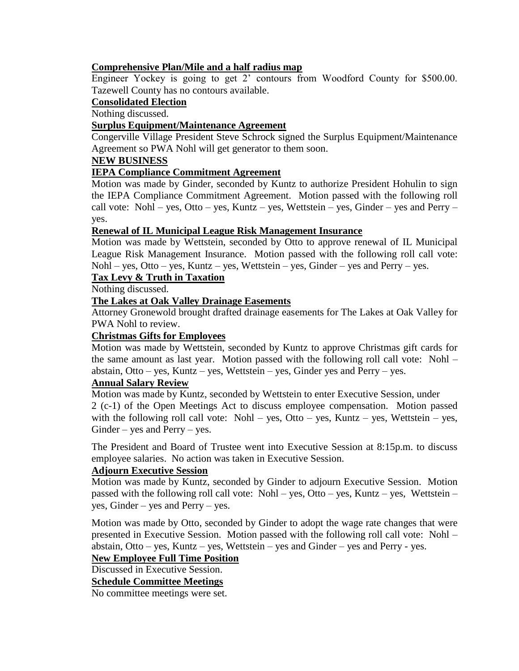# **Comprehensive Plan/Mile and a half radius map**

Engineer Yockey is going to get 2' contours from Woodford County for \$500.00. Tazewell County has no contours available.

# **Consolidated Election**

Nothing discussed.

# **Surplus Equipment/Maintenance Agreement**

Congerville Village President Steve Schrock signed the Surplus Equipment/Maintenance Agreement so PWA Nohl will get generator to them soon.

#### **NEW BUSINESS**

# **IEPA Compliance Commitment Agreement**

Motion was made by Ginder, seconded by Kuntz to authorize President Hohulin to sign the IEPA Compliance Commitment Agreement. Motion passed with the following roll call vote: Nohl – yes, Otto – yes, Kuntz – yes, Wettstein – yes, Ginder – yes and Perry – yes.

#### **Renewal of IL Municipal League Risk Management Insurance**

Motion was made by Wettstein, seconded by Otto to approve renewal of IL Municipal League Risk Management Insurance. Motion passed with the following roll call vote: Nohl – yes, Otto – yes, Kuntz – yes, Wettstein – yes, Ginder – yes and Perry – yes.

#### **Tax Levy & Truth in Taxation**

Nothing discussed.

#### **The Lakes at Oak Valley Drainage Easements**

Attorney Gronewold brought drafted drainage easements for The Lakes at Oak Valley for PWA Nohl to review.

#### **Christmas Gifts for Employees**

Motion was made by Wettstein, seconded by Kuntz to approve Christmas gift cards for the same amount as last year. Motion passed with the following roll call vote: Nohl – abstain, Otto – yes, Kuntz – yes, Wettstein – yes, Ginder yes and Perry – yes.

#### **Annual Salary Review**

Motion was made by Kuntz, seconded by Wettstein to enter Executive Session, under 2 (c-1) of the Open Meetings Act to discuss employee compensation. Motion passed with the following roll call vote: Nohl – yes, Otto – yes, Kuntz – yes, Wettstein – yes,  $Ginder - yes$  and  $Perry - yes$ .

The President and Board of Trustee went into Executive Session at 8:15p.m. to discuss employee salaries. No action was taken in Executive Session.

# **Adjourn Executive Session**

Motion was made by Kuntz, seconded by Ginder to adjourn Executive Session. Motion passed with the following roll call vote: Nohl – yes, Otto – yes, Kuntz – yes, Wettstein – yes, Ginder – yes and Perry – yes.

Motion was made by Otto, seconded by Ginder to adopt the wage rate changes that were presented in Executive Session. Motion passed with the following roll call vote: Nohl – abstain,  $Otto - yes$ ,  $Kuntz - yes$ ,  $Wettstein - yes$  and  $Ginder - yes$  and  $Perry - yes$ .

#### **New Employee Full Time Position**

#### Discussed in Executive Session.

**Schedule Committee Meetings**

No committee meetings were set.